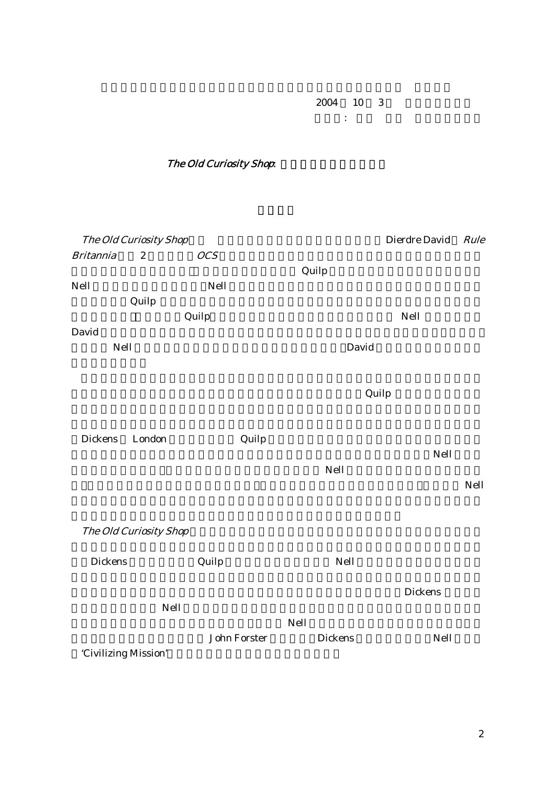$2004$  10 3 発表者: 玉井 史絵 (同志社大学)

The Old Curiosity Shop.

The Old Curiosity Shop
Bierdre David Rule Britannia 2 *OCS*  $\alpha$  Quilp  $\alpha$ Nell という二項対立に着目し、Nell の苦しみは野蛮人の脅威の下に苦しむイギリス人女性の苦  $\mathbf Q$ uilp the state of  $\mathbf Q$ uilp the state  $\mathbf Q$ uilp the state  $\mathbf Q$ <u>Quilp</u>== センスの場になっている。それは、「野蛮な」の場には、それはこの目に立つ Nell とくらい Nell とくらい David **Outling the Community of The Community** Service Service Service Service Service Service Service Service Service Service Service Service Service Service Service Service Service Service Service Service Service Service **Oavid** Nell **Nell** 2008 **Nell 2008**  $\rm{Quilp}$ Dickens London Quilp  $Nell$  $\mathrm{Nell}$  $\bm{\mathrm{Nell}}$ The Old Curiosity Shop  $\rm{Dickens}$  Quilp  $\rm{Quilp}$  Nell つの文明発展のモデルを提示し、調和的な社会を築く重要性を訴えている。Dickens はテキス  $Nell$ <u>Nell show that</u> John Forster **Dickens** Olichens Nell 'Civilizing Mission'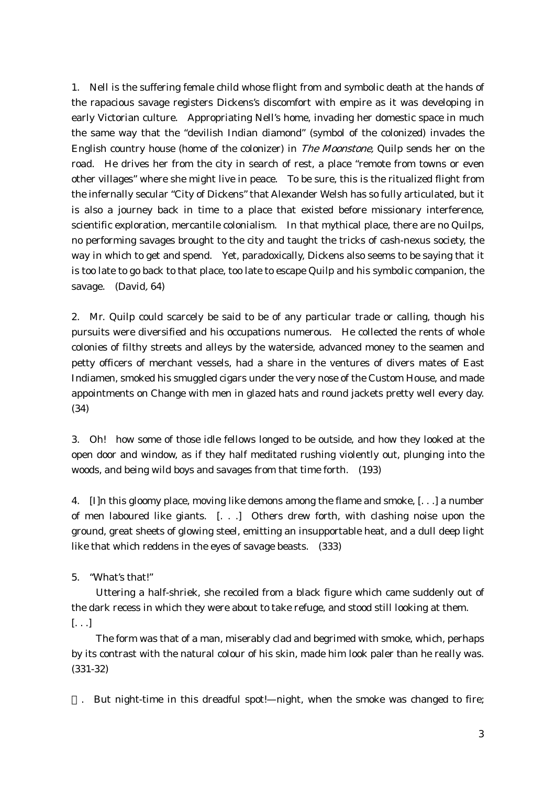1. Nell is the suffering female child whose flight from and symbolic death at the hands of the rapacious savage registers Dickens's discomfort with empire as it was developing in early Victorian culture. Appropriating Nell's home, invading her domestic space in much the same way that the "devilish Indian diamond" (symbol of the colonized) invades the English country house (home of the colonizer) in The Moonstone, Quilp sends her on the road. He drives her from the city in search of rest, a place "remote from towns or even other villages" where she might live in peace. To be sure, this is the ritualized flight from the infernally secular "City of Dickens" that Alexander Welsh has so fully articulated, but it is also a journey back in time to a place that existed before missionary interference, scientific exploration, mercantile colonialism. In that mythical place, there are no Quilps, no performing savages brought to the city and taught the tricks of cash-nexus society, the way in which to get and spend. Yet, paradoxically, Dickens also seems to be saying that it is too late to go back to that place, too late to escape Quilp and his symbolic companion, the savage. (David, 64)

2. Mr. Quilp could scarcely be said to be of any particular trade or calling, though his pursuits were diversified and his occupations numerous. He collected the rents of whole colonies of filthy streets and alleys by the waterside, advanced money to the seamen and petty officers of merchant vessels, had a share in the ventures of divers mates of East Indiamen, smoked his smuggled cigars under the very nose of the Custom House, and made appointments on Change with men in glazed hats and round jackets pretty well every day. (34)

3. Oh! how some of those idle fellows longed to be outside, and how they looked at the open door and window, as if they half meditated rushing violently out, plunging into the woods, and being wild boys and savages from that time forth. (193)

4. [I]n this gloomy place, moving like demons among the flame and smoke, [. . .] a number of men laboured like giants. [. . .] Others drew forth, with clashing noise upon the ground, great sheets of glowing steel, emitting an insupportable heat, and a dull deep light like that which reddens in the eyes of savage beasts. (333)

5. "What's that!"

 Uttering a half-shriek, she recoiled from a black figure which came suddenly out of the dark recess in which they were about to take refuge, and stood still looking at them. [. . .]

 The form was that of a man, miserably clad and begrimed with smoke, which, perhaps by its contrast with the natural colour of his skin, made him look paler than he really was. (331-32)

. But night-time in this dreadful spot!—night, when the smoke was changed to fire;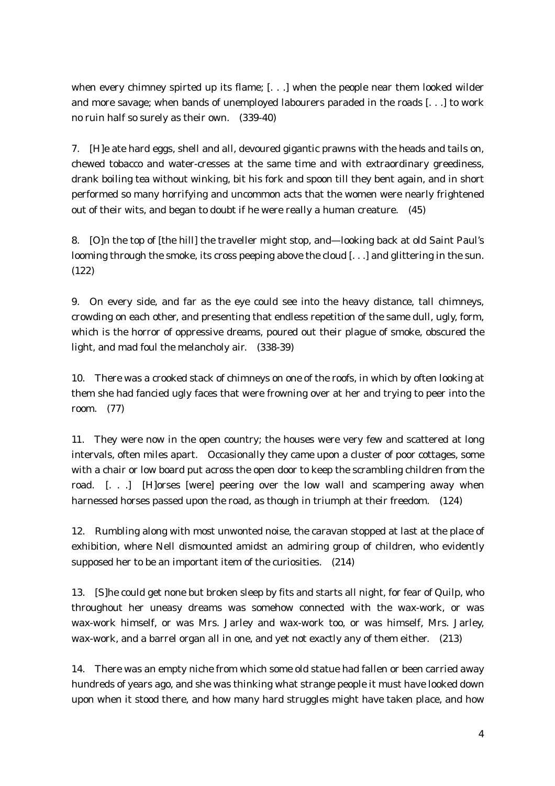when every chimney spirted up its flame; [. . .] when the people near them looked wilder and more savage; when bands of unemployed labourers paraded in the roads [. . .] to work no ruin half so surely as their own. (339-40)

7. [H]e ate hard eggs, shell and all, devoured gigantic prawns with the heads and tails on, chewed tobacco and water-cresses at the same time and with extraordinary greediness, drank boiling tea without winking, bit his fork and spoon till they bent again, and in short performed so many horrifying and uncommon acts that the women were nearly frightened out of their wits, and began to doubt if he were really a human creature. (45)

8. [O]n the top of [the hill] the traveller might stop, and—looking back at old Saint Paul's looming through the smoke, its cross peeping above the cloud [...] and glittering in the sun. (122)

9. On every side, and far as the eye could see into the heavy distance, tall chimneys, crowding on each other, and presenting that endless repetition of the same dull, ugly, form, which is the horror of oppressive dreams, poured out their plague of smoke, obscured the light, and mad foul the melancholy air. (338-39)

10. There was a crooked stack of chimneys on one of the roofs, in which by often looking at them she had fancied ugly faces that were frowning over at her and trying to peer into the room. (77)

11. They were now in the open country; the houses were very few and scattered at long intervals, often miles apart. Occasionally they came upon a cluster of poor cottages, some with a chair or low board put across the open door to keep the scrambling children from the road. [. . .] [H]orses [were] peering over the low wall and scampering away when harnessed horses passed upon the road, as though in triumph at their freedom. (124)

12. Rumbling along with most unwonted noise, the caravan stopped at last at the place of exhibition, where Nell dismounted amidst an admiring group of children, who evidently supposed her to be an important item of the curiosities. (214)

13. [S]he could get none but broken sleep by fits and starts all night, for fear of Quilp, who throughout her uneasy dreams was somehow connected with the wax-work, or was wax-work himself, or was Mrs. Jarley and wax-work too, or was himself, Mrs. Jarley, wax-work, and a barrel organ all in one, and yet not exactly any of them either. (213)

14. There was an empty niche from which some old statue had fallen or been carried away hundreds of years ago, and she was thinking what strange people it must have looked down upon when it stood there, and how many hard struggles might have taken place, and how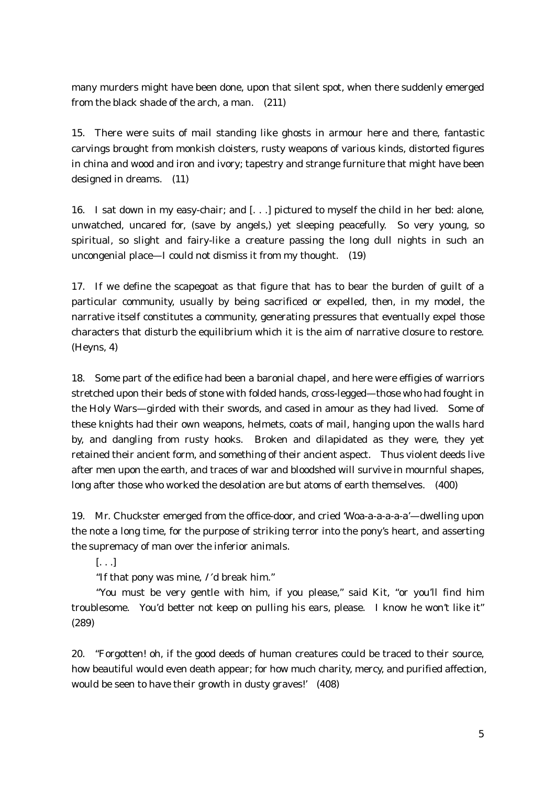many murders might have been done, upon that silent spot, when there suddenly emerged from the black shade of the arch, a man. (211)

15. There were suits of mail standing like ghosts in armour here and there, fantastic carvings brought from monkish cloisters, rusty weapons of various kinds, distorted figures in china and wood and iron and ivory; tapestry and strange furniture that might have been designed in dreams. (11)

16. I sat down in my easy-chair; and [. . .] pictured to myself the child in her bed: alone, unwatched, uncared for, (save by angels,) yet sleeping peacefully. So very young, so spiritual, so slight and fairy-like a creature passing the long dull nights in such an uncongenial place—I could not dismiss it from my thought. (19)

17. If we define the scapegoat as that figure that has to bear the burden of guilt of a particular community, usually by being sacrificed or expelled, then, in my model, the narrative itself constitutes a community, generating pressures that eventually expel those characters that disturb the equilibrium which it is the aim of narrative closure to restore. (Heyns, 4)

18. Some part of the edifice had been a baronial chapel, and here were effigies of warriors stretched upon their beds of stone with folded hands, cross-legged—those who had fought in the Holy Wars—girded with their swords, and cased in amour as they had lived. Some of these knights had their own weapons, helmets, coats of mail, hanging upon the walls hard by, and dangling from rusty hooks. Broken and dilapidated as they were, they yet retained their ancient form, and something of their ancient aspect. Thus violent deeds live after men upon the earth, and traces of war and bloodshed will survive in mournful shapes, long after those who worked the desolation are but atoms of earth themselves. (400)

19. Mr. Chuckster emerged from the office-door, and cried 'Woa-a-a-a-a-a'—dwelling upon the note a long time, for the purpose of striking terror into the pony's heart, and asserting the supremacy of man over the inferior animals.

[. . .]

"If that pony was mine, I' d break him."

 "You must be very gentle with him, if you please," said Kit, "or you'll find him troublesome. You'd better not keep on pulling his ears, please. I know he won't like it" (289)

20. "Forgotten! oh, if the good deeds of human creatures could be traced to their source, how beautiful would even death appear; for how much charity, mercy, and purified affection, would be seen to have their growth in dusty graves!' (408)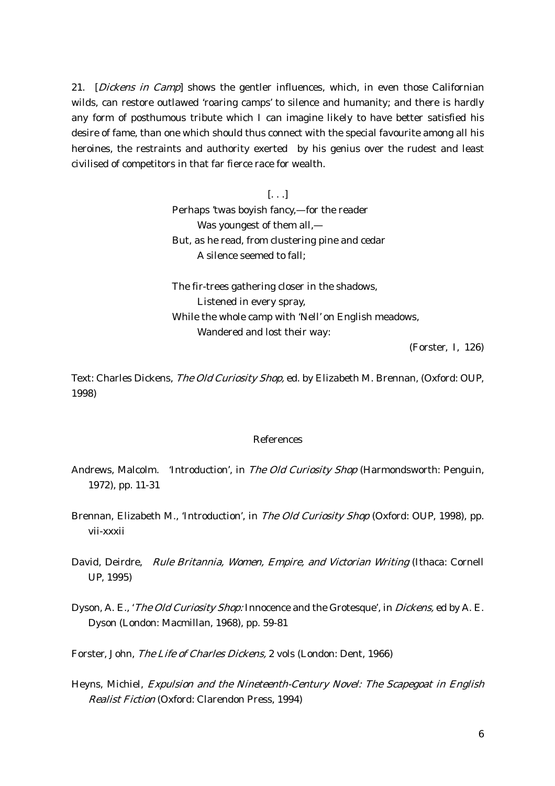21. [Dickens in Camp] shows the gentler influences, which, in even those Californian wilds, can restore outlawed 'roaring camps' to silence and humanity; and there is hardly any form of posthumous tribute which I can imagine likely to have better satisfied his desire of fame, than one which should thus connect with the special favourite among all his heroines, the restraints and authority exerted by his genius over the rudest and least civilised of competitors in that far fierce race for wealth.

> [. . .] Perhaps 'twas boyish fancy,—for the reader Was youngest of them all,— But, as he read, from clustering pine and cedar A silence seemed to fall;

The fir-trees gathering closer in the shadows, Listened in every spray, While the whole camp with 'Nell' on English meadows, Wandered and lost their way:

(Forster, I, 126)

Text: Charles Dickens, The Old Curiosity Shop, ed. by Elizabeth M. Brennan, (Oxford: OUP, 1998)

## References

- Andrews, Malcolm. 'Introduction', in The Old Curiosity Shop (Harmondsworth: Penguin, 1972), pp. 11-31
- Brennan, Elizabeth M., 'Introduction', in *The Old Curiosity Shop* (Oxford: OUP, 1998), pp. vii-xxxii
- David, Deirdre, Rule Britannia, Women, Empire, and Victorian Writing (Ithaca: Cornell UP, 1995)
- Dyson, A. E., '*The Old Curiosity Shop:* Innocence and the Grotesque', in *Dickens*, ed by A. E. Dyson (London: Macmillan, 1968), pp. 59-81
- Forster, John, The Life of Charles Dickens, 2 vols (London: Dent, 1966)
- Heyns, Michiel, Expulsion and the Nineteenth-Century Novel: The Scapegoat in English Realist Fiction (Oxford: Clarendon Press, 1994)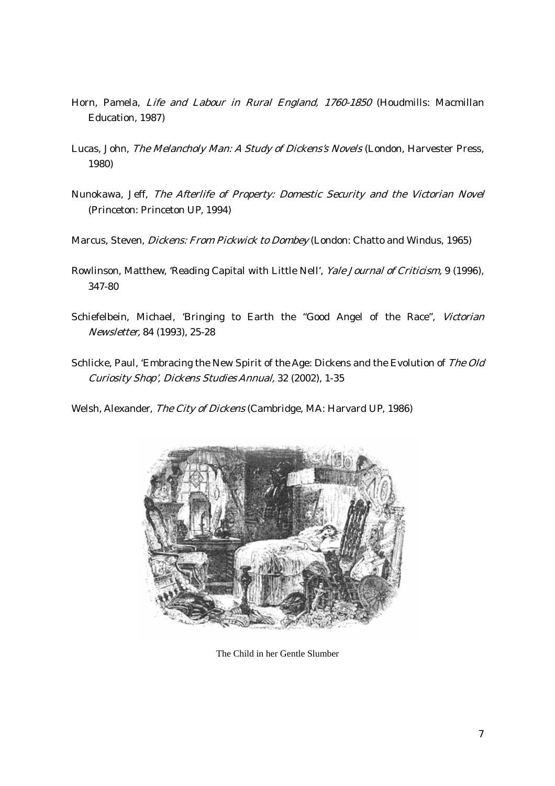- Horn, Pamela, Life and Labour in Rural England, 1760-1850 (Houdmills: Macmillan Education, 1987)
- Lucas, John, The Melancholy Man: A Study of Dickens's Novels (London, Harvester Press, 1980)
- Nunokawa, Jeff, The Afterlife of Property: Domestic Security and the Victorian Novel (Princeton: Princeton UP, 1994)
- Marcus, Steven, Dickens: From Pickwick to Dombey (London: Chatto and Windus, 1965)
- Rowlinson, Matthew, 'Reading Capital with Little Nell', Yale Journal of Criticism, 9 (1996), 347-80
- Schiefelbein, Michael, 'Bringing to Earth the "Good Angel of the Race", Victorian Newsletter, 84 (1993), 25-28
- Schlicke, Paul, 'Embracing the New Spirit of the Age: Dickens and the Evolution of The Old Curiosity Shop', Dickens Studies Annual, 32 (2002), 1-35

Welsh, Alexander, The City of Dickens (Cambridge, MA: Harvard UP, 1986)



The Child in her Gentle Slumber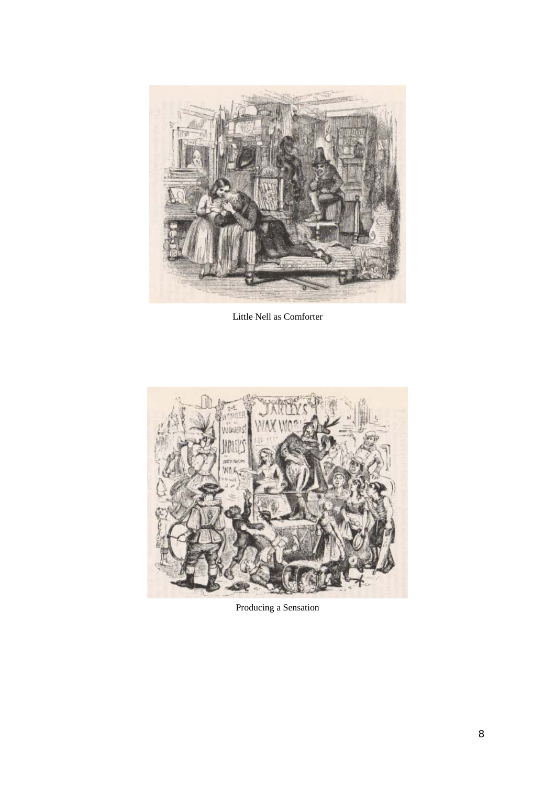

Little Nell as Comforter



Producing a Sensation